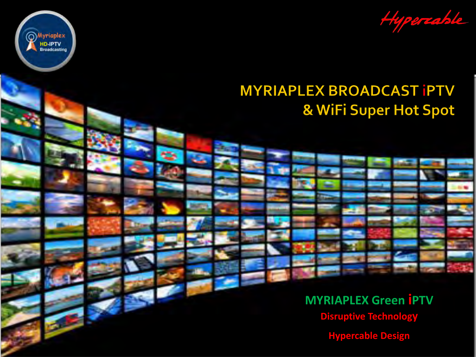Hypercable

## **MYRIAPLEX BROADCAST IPTV** & WiFi Super Hot Spot

**Myriaplex** 

**HD-IPTV**<br>Broadcasting

O

**MYRIAPLEX Green IPTV Disruptive Technology Hypercable Design**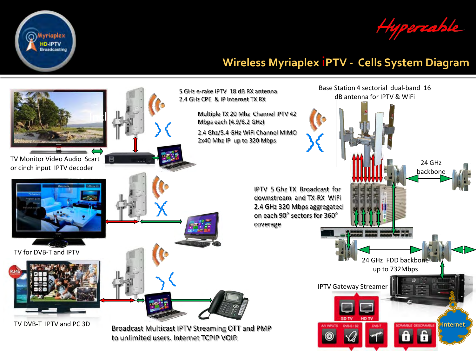

Hypercable

### **Wireless Myriaplex iPTV - Cells System Diagram**

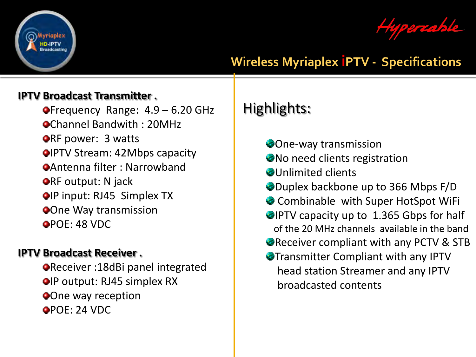

percable

### **Wireless Myriaplex iPTV - Specifications**

#### **IPTV Broadcast Transmitter .**

 $\bullet$ Frequency Range:  $4.9 - 6.20$  GHz Channel Bandwith : 20MHz **ORF power: 3 watts OIPTV Stream: 42Mbps capacity** Antenna filter : Narrowband **ORF output: N jack OIP input: RJ45 Simplex TX One Way transmission** POE: 48 VDC

#### **IPTV Broadcast Receiver .**

Receiver :18dBi panel integrated **OIP output: RJ45 simplex RX One way reception** POE: 24 VDC

# Highlights:

- One-way transmission
- No need clients registration
- **Ollnlimited clients**
- Duplex backbone up to 366 Mbps F/D
- Combinable with Super HotSpot WiFi
- **IPTV capacity up to 1.365 Gbps for half** of the 20 MHz channels available in the band
- Receiver compliant with any PCTV & STB
- Transmitter Compliant with any IPTV head station Streamer and any IPTV broadcasted contents